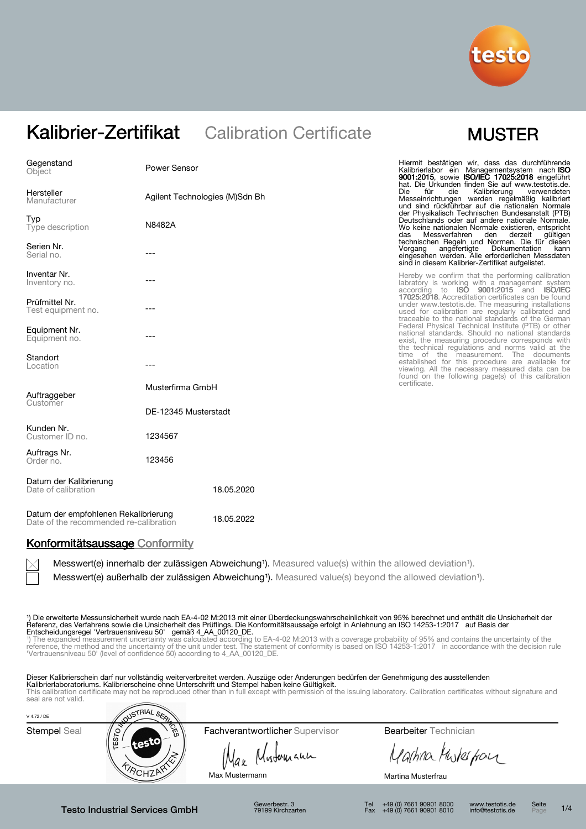

| Gegenstand<br>Object                                                           | <b>Power Sensor</b>            |            | Hiermit bestätigen wir, dass das durchführende<br>Kalibrierlabor ein Managementsystem nach ISO<br>9001:2015, sowie ISO/IEC 17025:2018 eingeführt                                                                    |
|--------------------------------------------------------------------------------|--------------------------------|------------|---------------------------------------------------------------------------------------------------------------------------------------------------------------------------------------------------------------------|
| Hersteller<br>Manufacturer                                                     | Agilent Technologies (M)Sdn Bh |            | hat. Die Urkunden finden Sie auf www.testotis.de.<br>Die<br>für<br>Kalibrierung<br>die<br>verwendeten<br>Messeinrichtungen werden regelmäßig kalibriert<br>und sind rückführbar auf die nationalen Normale          |
| Typ<br>Type description                                                        | N8482A                         |            | der Physikalisch Technischen Bundesanstalt (PTB)<br>Deutschlands oder auf andere nationale Normale.<br>Wo keine nationalen Normale existieren, entspricht<br>das<br>Messverfahren<br>den<br>derzeit<br>gültigen     |
| Serien Nr.<br>Serial no.                                                       |                                |            | technischen Regeln und Normen. Die für diesen<br>Vorgang<br>angefertigte Dokumentation<br>kann<br>eingesehen werden. Alle erforderlichen Messdaten<br>sind in diesem Kalibrier-Zertifikat aufgelistet.              |
| Inventar Nr.<br>Inventory no.                                                  |                                |            | Hereby we confirm that the performing calibration<br>labratory is working with a management system<br>according to <b>ISO 9001:2015</b> and <b>ISO/IEC</b>                                                          |
| Prüfmittel Nr.<br>Test equipment no.                                           |                                |            | 17025:2018. Accreditation certificates can be found<br>under www.testotis.de. The measuring installations<br>used for calibration are regularly calibrated and<br>traceable to the national standards of the German |
| Equipment Nr.<br>Equipment no.                                                 | ---                            |            | Federal Physical Technical Institute (PTB) or other<br>national standards. Should no national standards<br>exist, the measuring procedure corresponds with<br>the technical regulations and norms valid at the      |
| Standort<br>Location                                                           |                                |            | time of the measurement. The documents<br>established for this procedure are available for<br>viewing. All the necessary measured data can be<br>found on the following page(s) of this calibration                 |
| Auftraggeber<br>Customer                                                       | Musterfirma GmbH               |            | certificate.                                                                                                                                                                                                        |
|                                                                                | DE-12345 Musterstadt           |            |                                                                                                                                                                                                                     |
| Kunden Nr.<br>Customer ID no.                                                  | 1234567                        |            |                                                                                                                                                                                                                     |
| Auftrags Nr.<br>Order no.                                                      | 123456                         |            |                                                                                                                                                                                                                     |
| Datum der Kalibrierung<br>Date of calibration                                  |                                | 18.05.2020 |                                                                                                                                                                                                                     |
| Datum der empfohlenen Rekalibrierung<br>Date of the recommended re-calibration |                                | 18.05.2022 |                                                                                                                                                                                                                     |

## Konformitätsaussage Conformity

Messwert(e) innerhalb der zulässigen Abweichung<sup>1</sup>). Measured value(s) within the allowed deviation<sup>1</sup>).

Messwert(e) außerhalb der zulässigen Abweichung<sup>1</sup>). Measured value(s) beyond the allowed deviation<sup>1</sup>).

1) Die erweiterte Messunsicherheit wurde nach EA-4-02 M:2013 mit einer Überdeckungswahrscheinlichkeit von 95% berechnet und enthält die Unsicherheit der<br>Referenz, des Verfahrens sowie die Unsicherheit des Prüflings. Die Ko

Entscheidungsregel 'Vertrauensniveau 50' gemäß 4\_AA\_00120\_DE.<br>\*) The expanded measurement uncertainty was calculated according to EA-4-02 M:2013 with a coverage probability of 95% and contains the uncertainty of the<br>refere

Dieser Kalibrierschein darf nur vollständig weiterverbreitet werden. Auszüge oder Änderungen bedürfen der Genehmigung des ausstellenden **Kalibrierlaboratoriums. Kalibrierscheine ohne Unterschrift und Stempel haben keine Gültigkeit.**<br>This calibration certificate may not be reproduced other than in full except with permission of the issuing laboratory. Calib

| V 4.72 / DE  | <b>NUSTRIAL SEA</b> |                                 |                              |  |
|--------------|---------------------|---------------------------------|------------------------------|--|
| Stempel Seal | ದ್ದು<br>~           | Fachverantwortlicher Supervisor | <b>Bearbeiter</b> Technician |  |
|              | က္ထ<br>testo        | Mustomann<br>Nax                | Martina Muterform            |  |
|              |                     | Max Mustermann                  | Martina Musterfrau           |  |

Testo Industrial Services GmbH

Gewerbestr. 3 79199 Kirchzarten

Tel +49 (0) 7661 90901 8000 Fax +49 (0) 7661 90901 8010

www.testotis.de info@testotis.de Seite

 $1/4$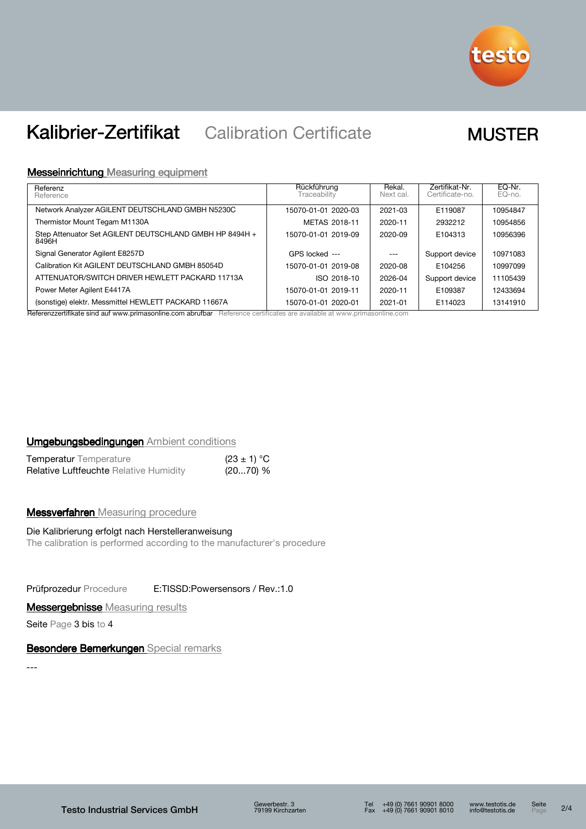

# Messeinrichtung Measuring equipment

| Referenz<br>Reference                                            | Rückführung<br>Traceability | Rekal.<br>Next cal. | Zertifikat-Nr.<br>Certificate-no. | EQ-Nr.<br>EQ-no. |
|------------------------------------------------------------------|-----------------------------|---------------------|-----------------------------------|------------------|
| Network Analyzer AGILENT DEUTSCHLAND GMBH N5230C                 | 15070-01-01 2020-03         | 2021-03             | E119087                           | 10954847         |
| Thermistor Mount Tegam M1130A                                    | METAS 2018-11               | 2020-11             | 2932212                           | 10954856         |
| Step Attenuator Set AGILENT DEUTSCHLAND GMBH HP 8494H +<br>8496H | 15070-01-01 2019-09         | 2020-09             | E104313                           | 10956396         |
| Signal Generator Agilent E8257D                                  | GPS locked ---              | $---$               | Support device                    | 10971083         |
| Calibration Kit AGILENT DEUTSCHLAND GMBH 85054D                  | 15070-01-01 2019-08         | 2020-08             | E104256                           | 10997099         |
| ATTENUATOR/SWITCH DRIVER HEWLETT PACKARD 11713A                  | ISO 2018-10                 | 2026-04             | Support device                    | 11105439         |
| Power Meter Agilent E4417A                                       | 15070-01-01 2019-11         | 2020-11             | E109387                           | 12433694         |
| (sonstige) elektr. Messmittel HEWLETT PACKARD 11667A             | 15070-01-01 2020-01         | 2021-01             | E114023                           | 13141910         |

Referenzzertifikate sind auf www.primasonline.com abrufbar Reference certificates are available at www.primasonline.com

## Umgebungsbedingungen Ambient conditions

| <b>Temperatur</b> Temperature                 | $(23 \pm 1) °C$ |  |
|-----------------------------------------------|-----------------|--|
| <b>Relative Luftfeuchte Relative Humidity</b> | $(2070)$ %      |  |

# **Messverfahren** Measuring procedure

# Die Kalibrierung erfolgt nach Herstelleranweisung

The calibration is performed according to the manufacturer's procedure

Prüfprozedur Procedure E:TISSD:Powersensors / Rev.:1.0

## **Messergebnisse Measuring results**

Seite Page 3 bis to 4

## Besondere Bemerkungen Special remarks

---

 $2/4$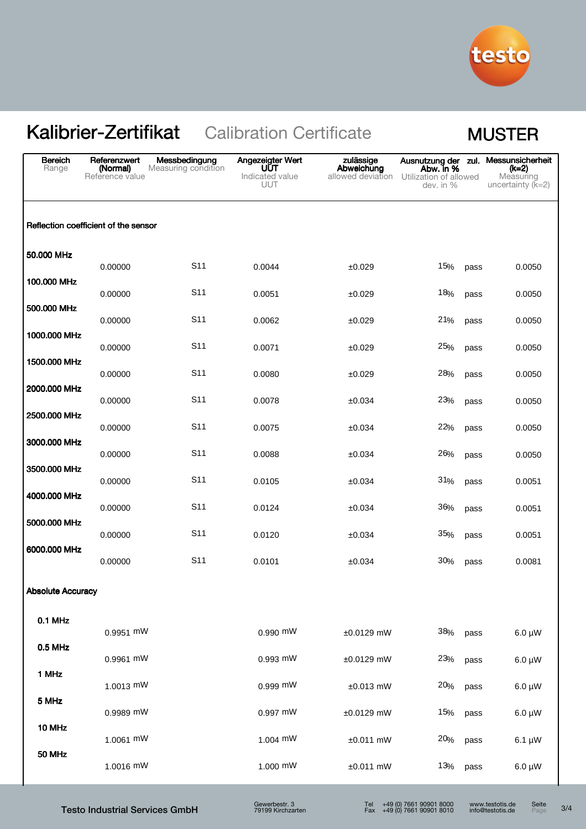

| <b>Bereich</b><br>Range  | Referenzwert<br>(Normal)<br>Reference value | Messbedingung<br>Measuring condition | Angezeigter Wert<br>UŪT<br>Indicated value<br><b>UUT</b> | zulässige<br>Abweichung<br>allowed deviation | Ausnutzung der zul. Messunsicherheit<br>Abw. in %<br>Utilization of allowed<br>dev. in % | (k=2)<br>Measuring<br>uncertainty $(K=2)$ |
|--------------------------|---------------------------------------------|--------------------------------------|----------------------------------------------------------|----------------------------------------------|------------------------------------------------------------------------------------------|-------------------------------------------|
|                          | Reflection coefficient of the sensor        |                                      |                                                          |                                              |                                                                                          |                                           |
| 50,000 MHz               | 0.00000                                     | S <sub>11</sub>                      | 0.0044                                                   | ±0.029                                       | 15%<br>pass                                                                              | 0.0050                                    |
| 100.000 MHz              | 0.00000                                     | S <sub>11</sub>                      | 0.0051                                                   | ±0.029                                       | 18%<br>pass                                                                              | 0.0050                                    |
| 500.000 MHz              | 0.00000                                     | S <sub>11</sub>                      | 0.0062                                                   | ±0.029                                       | 21%<br>pass                                                                              | 0.0050                                    |
| 1000.000 MHz             | 0.00000                                     | S <sub>11</sub>                      | 0.0071                                                   | ±0.029                                       | 25%<br>pass                                                                              | 0.0050                                    |
| 1500.000 MHz             | 0.00000                                     | S <sub>11</sub>                      | 0.0080                                                   | ±0.029                                       | 28%<br>pass                                                                              | 0.0050                                    |
| 2000.000 MHz             | 0.00000                                     | S <sub>11</sub>                      | 0.0078                                                   | ±0.034                                       | 23%<br>pass                                                                              | 0.0050                                    |
| 2500.000 MHz             | 0.00000                                     | S <sub>11</sub>                      | 0.0075                                                   | ±0.034                                       | 22%<br>pass                                                                              | 0.0050                                    |
| 3000.000 MHz             | 0.00000                                     | S <sub>11</sub>                      | 0.0088                                                   | ±0.034                                       | 26%<br>pass                                                                              | 0.0050                                    |
| 3500.000 MHz             | 0.00000                                     | S <sub>11</sub>                      | 0.0105                                                   | ±0.034                                       | 31%<br>pass                                                                              | 0.0051                                    |
| 4000.000 MHz             | 0.00000                                     | S <sub>11</sub>                      | 0.0124                                                   | ±0.034                                       | 36%<br>pass                                                                              | 0.0051                                    |
| 5000.000 MHz             | 0.00000                                     | S <sub>11</sub>                      | 0.0120                                                   | ±0.034                                       | 35%<br>pass                                                                              | 0.0051                                    |
| 6000.000 MHz             | 0.00000                                     | S <sub>11</sub>                      | 0.0101                                                   | ±0.034                                       | 30%<br>pass                                                                              | 0.0081                                    |
| <b>Absolute Accuracy</b> |                                             |                                      |                                                          |                                              |                                                                                          |                                           |
| 0.1 MHz                  | 0.9951 mW                                   |                                      | 0.990 mW                                                 |                                              | 38%                                                                                      |                                           |
| 0.5 MHz                  | 0.9961 mW                                   |                                      | 0.993 mW                                                 | $±0.0129$ mW<br>$±0.0129$ mW                 | pass<br>23%                                                                              | $6.0 \mu W$<br>$6.0 \mu W$                |
| 1 MHz                    | 1.0013 mW                                   |                                      | 0.999 mW                                                 | $±0.013$ mW                                  | pass<br>20%<br>pass                                                                      | $6.0 \mu W$                               |
| 5 MHz                    | 0.9989 mW                                   |                                      | 0.997 mW                                                 | $±0.0129$ mW                                 | 15%<br>pass                                                                              | $6.0 \mu W$                               |
| 10 MHz                   | 1.0061 mW                                   |                                      | 1.004 mW                                                 | $±0.011$ mW                                  | 20%<br>pass                                                                              | $6.1 \mu W$                               |
| 50 MHz                   | 1.0016 mW                                   |                                      | 1.000 mW                                                 | $±0.011$ mW                                  | 13%<br>pass                                                                              | $6.0 \mu W$                               |